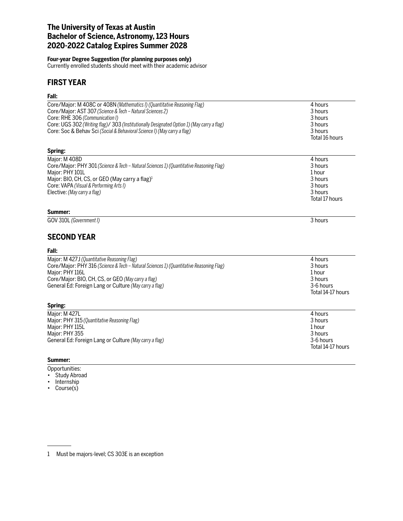# **The University of Texas at Austin Bachelor of Science, Astronomy, 123 Hours 2020-2022 Catalog Expires Summer 2028**

### **Four-year Degree Suggestion (for planning purposes only)**

Currently enrolled students should meet with their academic advisor

# **FIRST YEAR**

# **Fall:**

| Core/Major: M 408C or 408N (Mathematics I) (Quantitative Reasoning Flag)                   | 4 hours           |
|--------------------------------------------------------------------------------------------|-------------------|
| Core/Major: AST 307 (Science & Tech - Natural Sciences 2)                                  | 3 hours           |
| Core: RHE 306 (Communication I)                                                            | 3 hours           |
| Core: UGS 302 (Writing flag)/ 303 (Institutionally Designated Option 1) (May carry a flag) | 3 hours           |
| Core: Soc & Behav Sci (Social & Behavioral Science I) (May carry a flag)                   | 3 hours           |
|                                                                                            | Total 16 hours    |
| Spring:                                                                                    |                   |
| Major: M 408D                                                                              | 4 hours           |
| Core/Major: PHY 301 (Science & Tech - Natural Sciences 1) (Quantitative Reasoning Flag)    | 3 hours           |
| Major: PHY 101L                                                                            | 1 hour            |
| Major: BIO, CH, CS, or GEO (May carry a flag) <sup>1</sup>                                 | 3 hours           |
| Core: VAPA (Visual & Performing Arts I)                                                    | 3 hours           |
| Elective: (May carry a flag)                                                               | 3 hours           |
|                                                                                            | Total 17 hours    |
| Summer:                                                                                    |                   |
| GOV 310L (Government I)                                                                    | 3 hours           |
| <b>SECOND YEAR</b>                                                                         |                   |
| Fall:                                                                                      |                   |
| Major: M 427J (Quantitative Reasoning Flag)                                                | 4 hours           |
| Core/Major: PHY 316 (Science & Tech - Natural Sciences 1) (Quantitative Reasoning Flag)    | 3 hours           |
| Major: PHY 116L                                                                            | 1 hour            |
| Core/Major: BIO, CH, CS, or GEO (May carry a flag)                                         | 3 hours           |
| General Ed: Foreign Lang or Culture (May carry a flag)                                     | 3-6 hours         |
|                                                                                            | Total 14-17 hours |
| Spring:                                                                                    |                   |
| Major: M 427L                                                                              | 4 hours           |
| Major: PHY 315 (Quantitative Reasoning Flag)                                               | 3 hours           |
| Major: PHY 115L                                                                            | 1 hour            |
| Major: PHY 355                                                                             | 3 hours           |
| General Ed: Foreign Lang or Culture (May carry a flag)                                     | 3-6 hours         |
|                                                                                            | Total 14-17 hours |
| Summer:                                                                                    |                   |
|                                                                                            |                   |

Opportunities:

- Study Abroad • Internship
- Course(s)

1 Must be majors-level; CS 303E is an exception